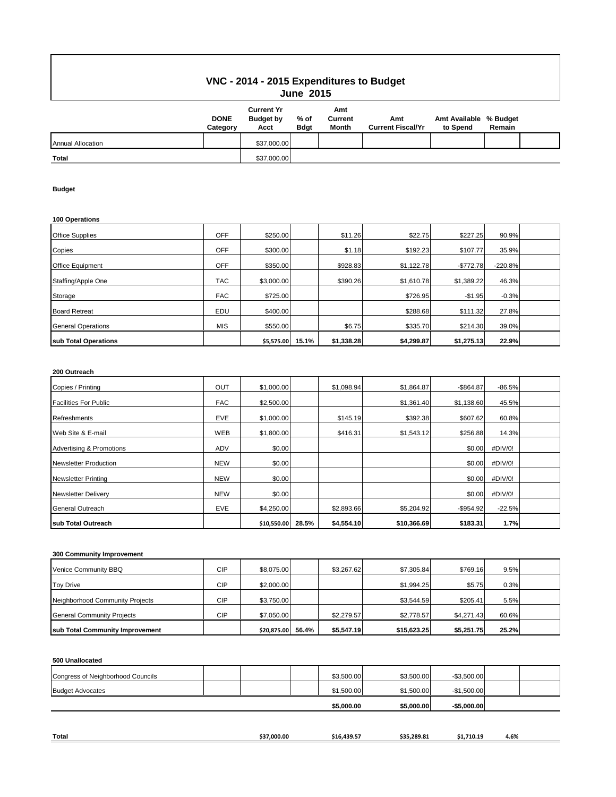## **VNC - 2014 - 2015 Expenditures to Budget June 2015**

|                          | <b>DONE</b><br>Category | <b>Current Yr</b><br><b>Budget by</b><br>Acct | % of<br><b>Bdgt</b> | Amt<br>Current<br>Month | Amt<br><b>Current Fiscal/Yr</b> | Amt Available % Budget<br>to Spend | Remain |  |
|--------------------------|-------------------------|-----------------------------------------------|---------------------|-------------------------|---------------------------------|------------------------------------|--------|--|
| <b>Annual Allocation</b> |                         | \$37,000.00                                   |                     |                         |                                 |                                    |        |  |
| Total                    |                         | \$37,000.00                                   |                     |                         |                                 |                                    |        |  |

#### **Budget**

| 100 Operations            |            |            |       |            |            |            |           |  |
|---------------------------|------------|------------|-------|------------|------------|------------|-----------|--|
| <b>Office Supplies</b>    | <b>OFF</b> | \$250.00   |       | \$11.26    | \$22.75    | \$227.25   | 90.9%     |  |
| Copies                    | <b>OFF</b> | \$300.00   |       | \$1.18     | \$192.23   | \$107.77   | 35.9%     |  |
| <b>Office Equipment</b>   | <b>OFF</b> | \$350.00   |       | \$928.83   | \$1,122.78 | $-$772.78$ | $-220.8%$ |  |
| Staffing/Apple One        | <b>TAC</b> | \$3,000.00 |       | \$390.26   | \$1,610.78 | \$1,389.22 | 46.3%     |  |
| Storage                   | <b>FAC</b> | \$725.00   |       |            | \$726.95   | $-$1.95$   | $-0.3%$   |  |
| <b>Board Retreat</b>      | EDU        | \$400.00   |       |            | \$288.68   | \$111.32   | 27.8%     |  |
| <b>General Operations</b> | <b>MIS</b> | \$550.00   |       | \$6.75     | \$335.70   | \$214.30   | 39.0%     |  |
| sub Total Operations      |            | \$5,575.00 | 15.1% | \$1,338.28 | \$4,299.87 | \$1,275.13 | 22.9%     |  |

#### **200 Outreach**

| Copies / Printing                   | <b>OUT</b> | \$1,000.00  |       | \$1,098.94 | \$1,864.87  | $-$ \$864.87 | $-86.5%$ |  |
|-------------------------------------|------------|-------------|-------|------------|-------------|--------------|----------|--|
| <b>Facilities For Public</b>        | <b>FAC</b> | \$2,500.00  |       |            | \$1,361.40  | \$1,138.60   | 45.5%    |  |
| <b>Refreshments</b>                 | <b>EVE</b> | \$1,000.00  |       | \$145.19   | \$392.38    | \$607.62     | 60.8%    |  |
| Web Site & E-mail                   | WEB        | \$1,800.00  |       | \$416.31   | \$1,543.12  | \$256.88     | 14.3%    |  |
| <b>Advertising &amp; Promotions</b> | ADV        | \$0.00      |       |            |             | \$0.00       | #DIV/0!  |  |
| Newsletter Production               | <b>NEW</b> | \$0.00      |       |            |             | \$0.00       | #DIV/0!  |  |
| <b>Newsletter Printing</b>          | <b>NEW</b> | \$0.00      |       |            |             | \$0.00       | #DIV/0!  |  |
| <b>Newsletter Delivery</b>          | <b>NEW</b> | \$0.00      |       |            |             | \$0.00       | #DIV/0!  |  |
| <b>General Outreach</b>             | <b>EVE</b> | \$4,250.00  |       | \$2,893.66 | \$5,204.92  | $-$ \$954.92 | $-22.5%$ |  |
| sub Total Outreach                  |            | \$10,550.00 | 28.5% | \$4,554.10 | \$10,366.69 | \$183.31     | 1.7%     |  |

#### **300 Community Improvement**

| Venice Community BBQ              | CIP        | \$8,075.00        | \$3.267.62 | \$7.305.84  | \$769.16   | 9.5%  |  |
|-----------------------------------|------------|-------------------|------------|-------------|------------|-------|--|
| <b>Toy Drive</b>                  | CIP        | \$2,000.00        |            | \$1.994.25  | \$5.75     | 0.3%  |  |
| Neighborhood Community Projects   | <b>CIP</b> | \$3,750.00        |            | \$3,544.59  | \$205.41   | 5.5%  |  |
| <b>General Community Projects</b> | CIP        | \$7,050.00        | \$2.279.57 | \$2,778.57  | \$4.271.43 | 60.6% |  |
| sub Total Community Improvement   |            | \$20.875.00 56.4% | \$5.547.19 | \$15,623,25 | \$5,251.75 | 25.2% |  |

### **500 Unallocated**

| Congress of Neighborhood Councils | \$3.500.00 | \$3.500.00 | $-$3.500.00$ |  |
|-----------------------------------|------------|------------|--------------|--|
| <b>Budget Advocates</b>           | \$1,500.00 | \$1,500.00 | $-$1.500.00$ |  |
|                                   | \$5,000.00 | \$5,000.00 | $-$5.000.00$ |  |

| <b>Total</b> | \$37.000.00 | \$16.439.57 | 5.289.87<br>. | $-1.710.19$<br>$\sim$ | 4.6% |
|--------------|-------------|-------------|---------------|-----------------------|------|
|              |             |             |               |                       |      |